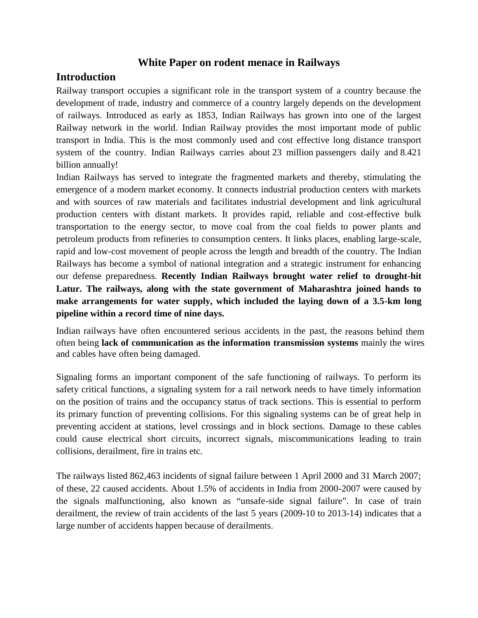### **White Paper on rodent menace in Railways**

## **Introduction**

Railway transport occupies a significant role in the transport system of a country because the development of trade, industry and commerce of a country largely depends on the development of railways. Introduced as early as 1853, Indian Railways has grown into one of the largest Railway network in the world. Indian Railway provides the most important mode of public transport in India. This is the most commonly used and cost effective long distance transport system of the country. Indian Railways carries about 23 million passengers daily and 8.421 billion annually!

Indian Railways has served to integrate the fragmented markets and thereby, stimulating the emergence of a modern market economy. It connects industrial production centers with markets and with sources of raw materials and facilitates industrial development and link agricultural production centers with distant markets. It provides rapid, reliable and cost-effective bulk transportation to the energy sector, to move coal from the coal fields to power plants and petroleum products from refineries to consumption centers. It links places, enabling large-scale, rapid and low-cost movement of people across the length and breadth of the country. The Indian Railways has become a symbol of national integration and a strategic instrument for enhancing our defense preparedness. **Recently Indian Railways brought water relief to drought-hit Latur. The railways, along with the state government of Maharashtra joined hands to make arrangements for water supply, which included the laying down of a 3.5-km long pipeline within a record time of nine days.**

Indian railways have often encountered serious accidents in the past, the reasons behind them often being **lack of communication as the information transmission systems** mainly the wires and cables have often being damaged.

Signaling forms an important component of the safe functioning of railways. To perform its safety critical functions, a signaling system for a rail network needs to have timely information on the position of trains and the occupancy status of track sections. This is essential to perform its primary function of preventing collisions. For this signaling systems can be of great help in preventing accident at stations, level crossings and in block sections. Damage to these cables could cause electrical short circuits, incorrect signals, miscommunications leading to train collisions, derailment, fire in trains etc.

The railways listed 862,463 incidents of signal failure between 1 April 2000 and 31 March 2007; of these, 22 caused accidents. About 1.5% of accidents in India from 2000-2007 were caused by the signals malfunctioning, also known as "unsafe-side signal failure". In case of train derailment, the review of train accidents of the last 5 years (2009-10 to 2013-14) indicates that a large number of accidents happen because of derailments.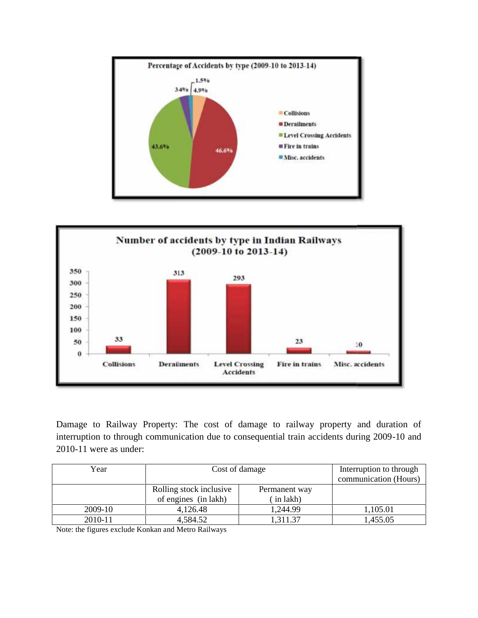



Damage to Railway Property: The cost of damage to railway property and duration of Damage to Railway Property: The cost of damage to railway property and duration of interruption to through communication due to consequential train accidents during 2009-10 and 2010-11 were as under:

| Year    | Cost of damage                                  |                           | Interruption to through<br>communication (Hours) |
|---------|-------------------------------------------------|---------------------------|--------------------------------------------------|
|         | Rolling stock inclusive<br>of engines (in lakh) | Permanent way<br>in lakh) |                                                  |
| 2009-10 | 4,126.48                                        | 1,244.99                  | 1,105.01                                         |
| 2010-11 | 4,584.52                                        | .311.37                   | 1,455.05                                         |

Note: the figures exclude Konkan and Metro Railways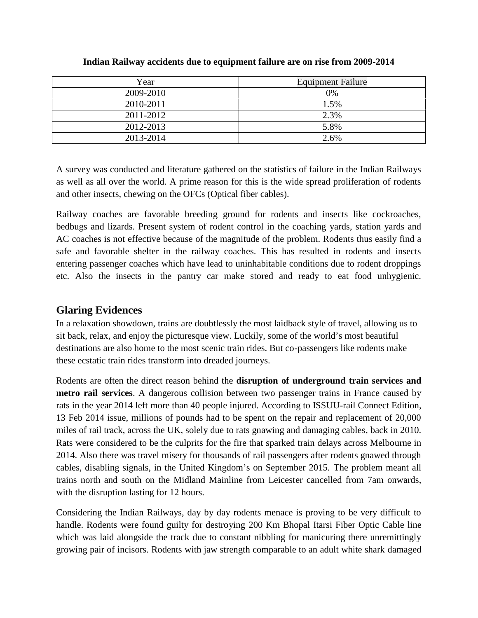| Year      | <b>Equipment Failure</b> |
|-----------|--------------------------|
| 2009-2010 | 0%                       |
| 2010-2011 | 1.5%                     |
| 2011-2012 | 2.3%                     |
| 2012-2013 | 5.8%                     |
| 2013-2014 | 2.6%                     |

**Indian Railway accidents due to equipment failure are on rise from 2009-2014**

A survey was conducted and literature gathered on the statistics of failure in the Indian Railways as well as all over the world. A prime reason for this is the wide spread proliferation of rodents and other insects, chewing on the OFCs (Optical fiber cables).

Railway coaches are favorable breeding ground for rodents and insects like cockroaches, bedbugs and lizards. Present system of rodent control in the coaching yards, station yards and AC coaches is not effective because of the magnitude of the problem. Rodents thus easily find a safe and favorable shelter in the railway coaches. This has resulted in rodents and insects entering passenger coaches which have lead to uninhabitable conditions due to rodent droppings etc. Also the insects in the pantry car make stored and ready to eat food unhygienic.

## **Glaring Evidences**

In a relaxation showdown, trains are doubtlessly the most laidback style of travel, allowing us to sit back, relax, and enjoy the picturesque view. Luckily, some of the world's most beautiful destinations are also home to the most scenic train rides. But co-passengers like rodents make these ecstatic train rides transform into dreaded journeys.

Rodents are often the direct reason behind the **disruption of underground train services and metro rail services**. A dangerous collision between two passenger trains in France caused by rats in the year 2014 left more than 40 people injured. According to ISSUU-rail Connect Edition, 13 Feb 2014 issue, millions of pounds had to be spent on the repair and replacement of 20,000 miles of rail track, across the UK, solely due to rats gnawing and damaging cables, back in 2010. Rats were considered to be the culprits for the fire that sparked train delays across Melbourne in 2014. Also there was travel misery for thousands of rail passengers after rodents gnawed through cables, disabling signals, in the United Kingdom's on September 2015. The problem meant all trains north and south on the Midland Mainline from Leicester cancelled from 7am onwards, with the disruption lasting for 12 hours.

Considering the Indian Railways, day by day rodents menace is proving to be very difficult to handle. Rodents were found guilty for destroying 200 Km Bhopal Itarsi Fiber Optic Cable line which was laid alongside the track due to constant nibbling for manicuring there unremittingly growing pair of incisors. Rodents with jaw strength comparable to an adult white shark damaged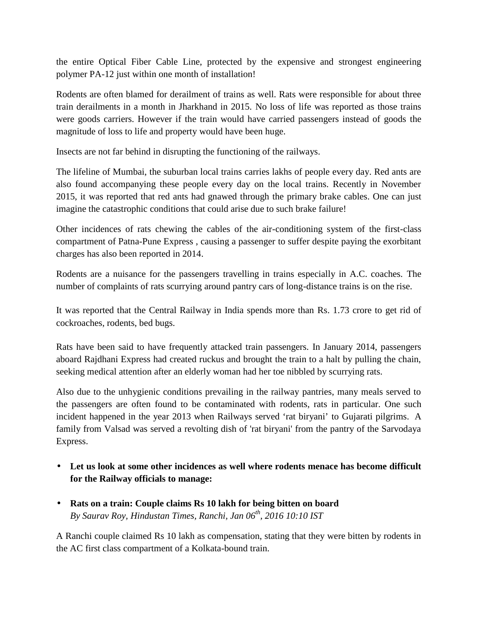the entire Optical Fiber Cable Line, protected by the expensive and strongest engineering polymer PA-12 just within one month of installation!

Rodents are often blamed for derailment of trains as well. Rats were responsible for about three train derailments in a month in Jharkhand in 2015. No loss of life was reported as those trains were goods carriers. However if the train would have carried passengers instead of goods the magnitude of loss to life and property would have been huge.

Insects are not far behind in disrupting the functioning of the railways.

The lifeline of Mumbai, the suburban local trains carries lakhs of people every day. Red ants are also found accompanying these people every day on the local trains. Recently in November 2015, it was reported that red ants had gnawed through the primary brake cables. One can just imagine the catastrophic conditions that could arise due to such brake failure!

Other incidences of rats chewing the cables of the air-conditioning system of the first-class compartment of Patna-Pune Express , causing a passenger to suffer despite paying the exorbitant charges has also been reported in 2014.

Rodents are a nuisance for the passengers travelling in trains especially in A.C. coaches. The number of complaints of rats scurrying around pantry cars of long-distance trains is on the rise.

It was reported that the Central Railway in India spends more than Rs. 1.73 crore to get rid of cockroaches, rodents, bed bugs.

Rats have been said to have frequently attacked train passengers. In January 2014, passengers aboard Rajdhani Express had created ruckus and brought the train to a halt by pulling the chain, seeking medical attention after an elderly woman had her toe nibbled by scurrying rats.

Also due to the unhygienic conditions prevailing in the railway pantries, many meals served to the passengers are often found to be contaminated with rodents, rats in particular. One such incident happened in the year 2013 when Railways served 'rat biryani' to Gujarati pilgrims. A family from Valsad was served a revolting dish of 'rat biryani' from the pantry of the Sarvodaya Express.

- **Let us look at some other incidences as well where rodents menace has become difficult for the Railway officials to manage:**
- **Rats on a train: Couple claims Rs 10 lakh for being bitten on board** *By Saurav Roy, Hindustan Times, Ranchi, Jan 06th, 2016 10:10 IST*

A Ranchi couple claimed Rs 10 lakh as compensation, stating that they were bitten by rodents in the AC first class compartment of a Kolkata-bound train.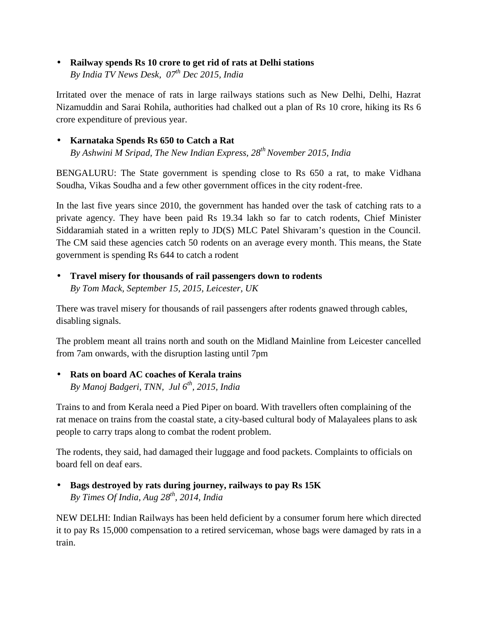**Railway spends Rs 10 crore to get rid of rats at Delhi stations** *By India TV News Desk, 07th Dec 2015, India*

Irritated over the menace of rats in large railways stations such as New Delhi, Delhi, Hazrat Nizamuddin and Sarai Rohila, authorities had chalked out a plan of Rs 10 crore, hiking its Rs 6 crore expenditure of previous year.

### **Karnataka Spends Rs 650 to Catch a Rat**

*By Ashwini M Sripad, The New Indian Express, 28thNovember 2015, India*

BENGALURU: The State government is spending close to Rs 650 a rat, to make Vidhana Soudha, Vikas Soudha and a few other government offices in the city rodent-free.

In the last five years since 2010, the government has handed over the task of catching rats to a private agency. They have been paid Rs 19.34 lakh so far to catch rodents, Chief Minister Siddaramiah stated in a written reply to JD(S) MLC Patel Shivaram's question in the Council. The CM said these agencies catch 50 rodents on an average every month. This means, the State government is spending Rs 644 to catch a rodent

 **Travel misery for thousands of rail passengers down to rodents** *By Tom Mack, September 15, 2015, Leicester, UK*

There was travel misery for thousands of rail passengers after rodents gnawed through cables, disabling signals.

The problem meant all trains north and south on the Midland Mainline from Leicester cancelled from 7am onwards, with the disruption lasting until 7pm

 **Rats on board AC coaches of Kerala trains** *By Manoj Badgeri, TNN, Jul 6th, 2015, India*

Trains to and from Kerala need a Pied Piper on board. With travellers often complaining of the rat menace on trains from the coastal state, a city-based cultural body of Malayalees plans to ask people to carry traps along to combat the rodent problem.

The rodents, they said, had damaged their luggage and food packets. Complaints to officials on board fell on deaf ears.

 **Bags destroyed by rats during journey, railways to pay Rs 15K** *By Times Of India, Aug 28th, 2014, India*

NEW DELHI: Indian Railways has been held deficient by a consumer forum here which directed it to pay Rs 15,000 compensation to a retired serviceman, whose bags were damaged by rats in a train.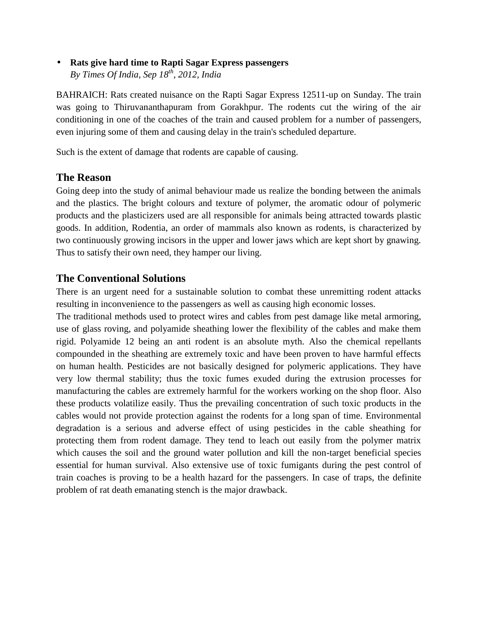#### **Rats give hard time to Rapti Sagar Express passengers**

*By Times Of India, Sep 18th, 2012, India*

BAHRAICH: Rats created nuisance on the Rapti Sagar Express 12511-up on Sunday. The train was going to Thiruvananthapuram from Gorakhpur. The rodents cut the wiring of the air conditioning in one of the coaches of the train and caused problem for a number of passengers, even injuring some of them and causing delay in the train's scheduled departure.

Such is the extent of damage that rodents are capable of causing.

## **The Reason**

Going deep into the study of animal behaviour made us realize the bonding between the animals and the plastics. The bright colours and texture of polymer, the aromatic odour of polymeric products and the plasticizers used are all responsible for animals being attracted towards plastic goods. In addition, Rodentia, an order of mammals also known as rodents, is characterized by two continuously growing incisors in the upper and lower jaws which are kept short by gnawing. Thus to satisfy their own need, they hamper our living.

## **The Conventional Solutions**

There is an urgent need for a sustainable solution to combat these unremitting rodent attacks resulting in inconvenience to the passengers as well as causing high economic losses.

The traditional methods used to protect wires and cables from pest damage like metal armoring, use of glass roving, and polyamide sheathing lower the flexibility of the cables and make them rigid. Polyamide 12 being an anti rodent is an absolute myth. Also the chemical repellants compounded in the sheathing are extremely toxic and have been proven to have harmful effects on human health. Pesticides are not basically designed for polymeric applications. They have very low thermal stability; thus the toxic fumes exuded during the extrusion processes for manufacturing the cables are extremely harmful for the workers working on the shop floor. Also these products volatilize easily. Thus the prevailing concentration of such toxic products in the cables would not provide protection against the rodents for a long span of time. Environmental degradation is a serious and adverse effect of using pesticides in the cable sheathing for protecting them from rodent damage. They tend to leach out easily from the polymer matrix which causes the soil and the ground water pollution and kill the non-target beneficial species essential for human survival. Also extensive use of toxic fumigants during the pest control of train coaches is proving to be a health hazard for the passengers. In case of traps, the definite problem of rat death emanating stench is the major drawback.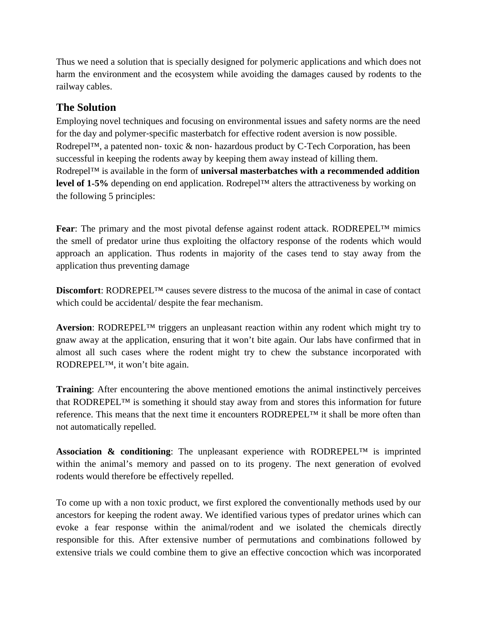Thus we need a solution that is specially designed for polymeric applications and which does not harm the environment and the ecosystem while avoiding the damages caused by rodents to the railway cables.

# **The Solution**

Employing novel techniques and focusing on environmental issues and safety norms are the need for the day and polymer-specific masterbatch for effective rodent aversion is now possible. Rodrepel™, a patented non-toxic & non-hazardous product by C-Tech Corporation, has been successful in keeping the rodents away by keeping them away instead of killing them. Rodrepel™ is available in the form of **universal masterbatches with a recommended addition level of 1‐5%** depending on end application. Rodrepel™ alters the attractiveness by working on the following 5 principles:

**Fear**: The primary and the most pivotal defense against rodent attack. RODREPEL™ mimics the smell of predator urine thus exploiting the olfactory response of the rodents which would approach an application. Thus rodents in majority of the cases tend to stay away from the application thus preventing damage

**Discomfort**: RODREPEL™ causes severe distress to the mucosa of the animal in case of contact which could be accidental/ despite the fear mechanism.

**Aversion**: RODREPEL™ triggers an unpleasant reaction within any rodent which might try to gnaw away at the application, ensuring that it won't bite again. Our labs have confirmed that in almost all such cases where the rodent might try to chew the substance incorporated with RODREPEL™, it won't bite again.

**Training**: After encountering the above mentioned emotions the animal instinctively perceives that RODREPEL™ is something it should stay away from and stores this information for future reference. This means that the next time it encounters RODREPEL™ it shall be more often than not automatically repelled.

**Association & conditioning**: The unpleasant experience with RODREPEL™ is imprinted within the animal's memory and passed on to its progeny. The next generation of evolved rodents would therefore be effectively repelled.

To come up with a non toxic product, we first explored the conventionally methods used by our ancestors for keeping the rodent away. We identified various types of predator urines which can evoke a fear response within the animal/rodent and we isolated the chemicals directly responsible for this. After extensive number of permutations and combinations followed by extensive trials we could combine them to give an effective concoction which was incorporated